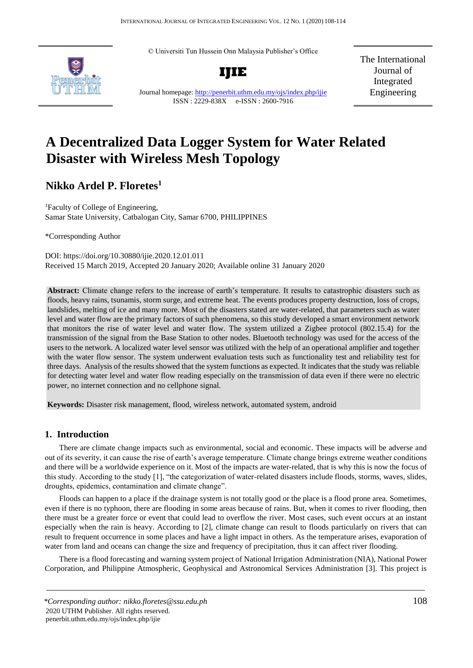© Universiti Tun Hussein Onn Malaysia Publisher's Office





The International Journal of Integrated Engineering

Journal homepage:<http://penerbit.uthm.edu.my/ojs/index.php/ijie> ISSN : 2229-838X e-ISSN : 2600-7916

# **A Decentralized Data Logger System for Water Related Disaster with Wireless Mesh Topology**

# **Nikko Ardel P. Floretes<sup>1</sup>**

<sup>1</sup>Faculty of College of Engineering, Samar State University, Catbalogan City, Samar 6700, PHILIPPINES

\*Corresponding Author

DOI: https://doi.org/10.30880/ijie.2020.12.01.011 Received 15 March 2019, Accepted 20 January 2020; Available online 31 January 2020

**Abstract:** Climate change refers to the increase of earth's temperature. It results to catastrophic disasters such as floods, heavy rains, tsunamis, storm surge, and extreme heat. The events produces property destruction, loss of crops, landslides, melting of ice and many more. Most of the disasters stated are water-related, that parameters such as water level and water flow are the primary factors of such phenomena, so this study developed a smart environment network that monitors the rise of water level and water flow. The system utilized a Zigbee protocol (802.15.4) for the transmission of the signal from the Base Station to other nodes. Bluetooth technology was used for the access of the users to the network. A localized water level sensor was utilized with the help of an operational amplifier and together with the water flow sensor. The system underwent evaluation tests such as functionality test and reliability test for three days. Analysis of the results showed that the system functions as expected. It indicates that the study was reliable for detecting water level and water flow reading especially on the transmission of data even if there were no electric power, no internet connection and no cellphone signal.

**Keywords:** Disaster risk management, flood, wireless network, automated system, android

### **1. Introduction**

There are climate change impacts such as environmental, social and economic. These impacts will be adverse and out of its severity, it can cause the rise of earth's average temperature. Climate change brings extreme weather conditions and there will be a worldwide experience on it. Most of the impacts are water-related, that is why this is now the focus of this study. According to the study [1], "the categorization of water-related disasters include floods, storms, waves, slides, droughts, epidemics, contamination and climate change".

Floods can happen to a place if the drainage system is not totally good or the place is a flood prone area. Sometimes, even if there is no typhoon, there are flooding in some areas because of rains. But, when it comes to river flooding, then there must be a greater force or event that could lead to overflow the river. Most cases, such event occurs at an instant especially when the rain is heavy. According to [2], climate change can result to floods particularly on rivers that can result to frequent occurrence in some places and have a light impact in others. As the temperature arises, evaporation of water from land and oceans can change the size and frequency of precipitation, thus it can affect river flooding.

There is a flood forecasting and warning system project of National Irrigation Administration (NIA), National Power Corporation, and Philippine Atmospheric, Geophysical and Astronomical Services Administration [3]. This project is

*<sup>\*</sup>Corresponding author: nikko.floretes@ssu.edu.ph* 108 2020 UTHM Publisher. All rights reserved. penerbit.uthm.edu.my/ojs/index.php/ijie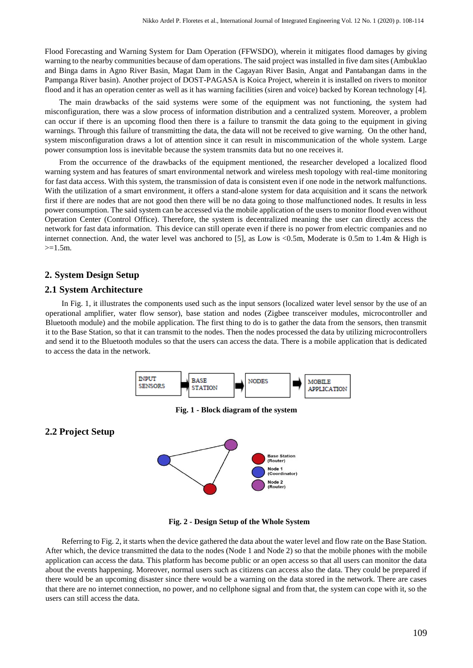Flood Forecasting and Warning System for Dam Operation (FFWSDO), wherein it mitigates flood damages by giving warning to the nearby communities because of dam operations. The said project was installed in five dam sites (Ambuklao and Binga dams in Agno River Basin, Magat Dam in the Cagayan River Basin, Angat and Pantabangan dams in the Pampanga River basin). Another project of DOST-PAGASA is Koica Project, wherein it is installed on rivers to monitor flood and it has an operation center as well as it has warning facilities (siren and voice) backed by Korean technology [4].

The main drawbacks of the said systems were some of the equipment was not functioning, the system had misconfiguration, there was a slow process of information distribution and a centralized system. Moreover, a problem can occur if there is an upcoming flood then there is a failure to transmit the data going to the equipment in giving warnings. Through this failure of transmitting the data, the data will not be received to give warning. On the other hand, system misconfiguration draws a lot of attention since it can result in miscommunication of the whole system. Large power consumption loss is inevitable because the system transmits data but no one receives it.

From the occurrence of the drawbacks of the equipment mentioned, the researcher developed a localized flood warning system and has features of smart environmental network and wireless mesh topology with real-time monitoring for fast data access. With this system, the transmission of data is consistent even if one node in the network malfunctions. With the utilization of a smart environment, it offers a stand-alone system for data acquisition and it scans the network first if there are nodes that are not good then there will be no data going to those malfunctioned nodes. It results in less power consumption. The said system can be accessed via the mobile application of the users to monitor flood even without Operation Center (Control Office). Therefore, the system is decentralized meaning the user can directly access the network for fast data information. This device can still operate even if there is no power from electric companies and no internet connection. And, the water level was anchored to [5], as Low is <0.5m, Moderate is 0.5m to 1.4m & High is  $>=1.5m$ .

### **2. System Design Setup**

#### **2.1 System Architecture**

**2.2 Project Setup** 

In Fig. 1, it illustrates the components used such as the input sensors (localized water level sensor by the use of an operational amplifier, water flow sensor), base station and nodes (Zigbee transceiver modules, microcontroller and Bluetooth module) and the mobile application. The first thing to do is to gather the data from the sensors, then transmit it to the Base Station, so that it can transmit to the nodes. Then the nodes processed the data by utilizing microcontrollers and send it to the Bluetooth modules so that the users can access the data. There is a mobile application that is dedicated to access the data in the network.



**Fig. 1 - Block diagram of the system** 



 **Fig. 2 - Design Setup of the Whole System** 

Referring to Fig. 2, it starts when the device gathered the data about the water level and flow rate on the Base Station. After which, the device transmitted the data to the nodes (Node 1 and Node 2) so that the mobile phones with the mobile application can access the data. This platform has become public or an open access so that all users can monitor the data about the events happening. Moreover, normal users such as citizens can access also the data. They could be prepared if there would be an upcoming disaster since there would be a warning on the data stored in the network. There are cases that there are no internet connection, no power, and no cellphone signal and from that, the system can cope with it, so the users can still access the data.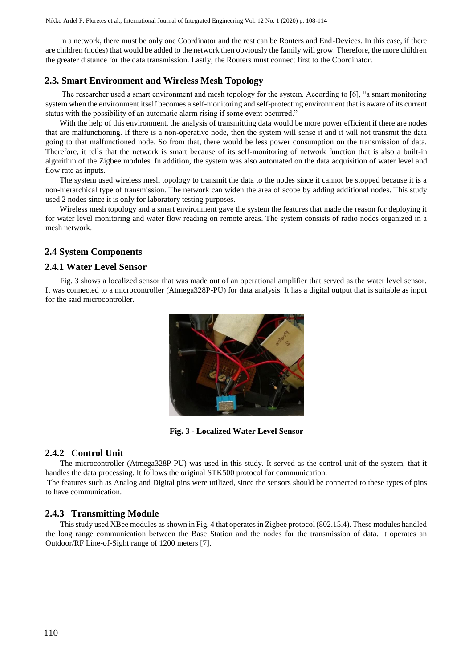In a network, there must be only one Coordinator and the rest can be Routers and End-Devices. In this case, if there are children (nodes) that would be added to the network then obviously the family will grow. Therefore, the more children the greater distance for the data transmission. Lastly, the Routers must connect first to the Coordinator.

### **2.3. Smart Environment and Wireless Mesh Topology**

The researcher used a smart environment and mesh topology for the system. According to [6], "a smart monitoring system when the environment itself becomes a self-monitoring and self-protecting environment that is aware of its current status with the possibility of an automatic alarm rising if some event occurred."

With the help of this environment, the analysis of transmitting data would be more power efficient if there are nodes that are malfunctioning. If there is a non-operative node, then the system will sense it and it will not transmit the data going to that malfunctioned node. So from that, there would be less power consumption on the transmission of data. Therefore, it tells that the network is smart because of its self-monitoring of network function that is also a built-in algorithm of the Zigbee modules. In addition, the system was also automated on the data acquisition of water level and flow rate as inputs.

The system used wireless mesh topology to transmit the data to the nodes since it cannot be stopped because it is a non-hierarchical type of transmission. The network can widen the area of scope by adding additional nodes. This study used 2 nodes since it is only for laboratory testing purposes.

Wireless mesh topology and a smart environment gave the system the features that made the reason for deploying it for water level monitoring and water flow reading on remote areas. The system consists of radio nodes organized in a mesh network.

## **2.4 System Components**

### **2.4.1 Water Level Sensor**

Fig. 3 shows a localized sensor that was made out of an operational amplifier that served as the water level sensor. It was connected to a microcontroller (Atmega328P-PU) for data analysis. It has a digital output that is suitable as input for the said microcontroller.



**Fig. 3 - Localized Water Level Sensor** 

### **2.4.2 Control Unit**

The microcontroller (Atmega328P-PU) was used in this study. It served as the control unit of the system, that it handles the data processing. It follows the original STK500 protocol for communication.

The features such as Analog and Digital pins were utilized, since the sensors should be connected to these types of pins to have communication.

#### **2.4.3 Transmitting Module**

This study used XBee modules as shown in Fig. 4 that operates in Zigbee protocol (802.15.4). These modules handled the long range communication between the Base Station and the nodes for the transmission of data. It operates an Outdoor/RF Line-of-Sight range of 1200 meters [7].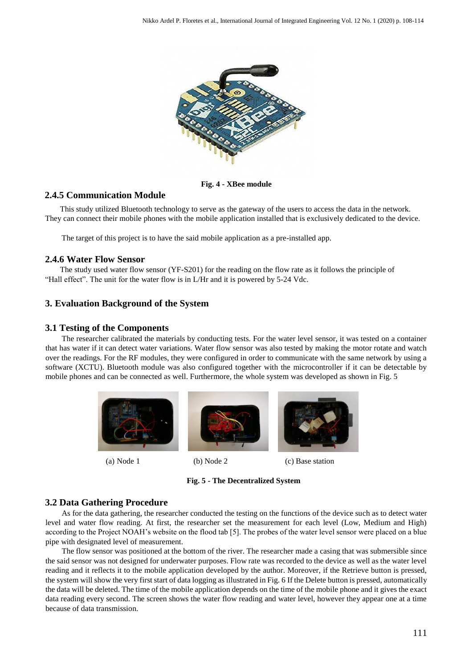

**Fig. 4 - XBee module** 

# **2.4.5 Communication Module**

This study utilized Bluetooth technology to serve as the gateway of the users to access the data in the network. They can connect their mobile phones with the mobile application installed that is exclusively dedicated to the device.

The target of this project is to have the said mobile application as a pre-installed app.

# **2.4.6 Water Flow Sensor**

The study used water flow sensor (YF-S201) for the reading on the flow rate as it follows the principle of "Hall effect". The unit for the water flow is in L/Hr and it is powered by 5-24 Vdc.

# **3. Evaluation Background of the System**

## **3.1 Testing of the Components**

The researcher calibrated the materials by conducting tests. For the water level sensor, it was tested on a container that has water if it can detect water variations. Water flow sensor was also tested by making the motor rotate and watch over the readings. For the RF modules, they were configured in order to communicate with the same network by using a software (XCTU). Bluetooth module was also configured together with the microcontroller if it can be detectable by mobile phones and can be connected as well. Furthermore, the whole system was developed as shown in Fig. 5



(a) Node 1 (b) Node 2 (c) Base station

**Fig. 5 - The Decentralized System** 

# **3.2 Data Gathering Procedure**

As for the data gathering, the researcher conducted the testing on the functions of the device such as to detect water level and water flow reading. At first, the researcher set the measurement for each level (Low, Medium and High) according to the Project NOAH's website on the flood tab [5]. The probes of the water level sensor were placed on a blue pipe with designated level of measurement.

The flow sensor was positioned at the bottom of the river. The researcher made a casing that was submersible since the said sensor was not designed for underwater purposes. Flow rate was recorded to the device as well as the water level reading and it reflects it to the mobile application developed by the author. Moreover, if the Retrieve button is pressed, the system will show the very first start of data logging as illustrated in Fig. 6 If the Delete button is pressed, automatically the data will be deleted. The time of the mobile application depends on the time of the mobile phone and it gives the exact data reading every second. The screen shows the water flow reading and water level, however they appear one at a time because of data transmission.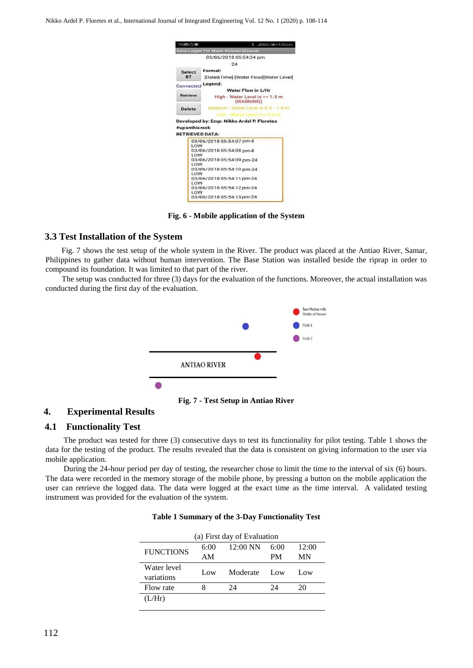Nikko Ardel P. Floretes et al., International Journal of Integrated Engineering Vol. 12 No. 1 (2020) p. 108-114

| <b>TMEDCO</b>                                  | % all 86% → 5:54 pm                            |  |  |  |
|------------------------------------------------|------------------------------------------------|--|--|--|
|                                                | <b>Data Logger For Water Related Disaster</b>  |  |  |  |
|                                                | 03/06/2018 05:54:24 pm                         |  |  |  |
|                                                | 24                                             |  |  |  |
| <b>Select</b>                                  | Format:                                        |  |  |  |
| <b>BT</b>                                      | [Date&Time]-[Water Flow][Water Level]          |  |  |  |
| Connected                                      | Legend:                                        |  |  |  |
|                                                | <b>Water Flow in L/Hr</b>                      |  |  |  |
| Retrieve                                       | High - Water Level is $> = 1.5$ m<br>(WARNING) |  |  |  |
| <b>Delete</b>                                  | Medium - Water Level is 0.5 - 1.4 m            |  |  |  |
|                                                |                                                |  |  |  |
|                                                | Developed by: Engr. Nikko Ardel P. Floretes    |  |  |  |
|                                                |                                                |  |  |  |
|                                                | 03/06/2018 05:54:07 pm-8                       |  |  |  |
| LOW                                            |                                                |  |  |  |
| #uponthisrock<br><b>RETRIEVED DATA:</b><br>LOW | 03/06/2018 05:54:08 pm-8                       |  |  |  |
|                                                | 03/06/2018 05:54:09 pm-24                      |  |  |  |
| <b>LOW</b>                                     |                                                |  |  |  |
| LOW                                            | 03/06/2018 05:54:10 pm-24                      |  |  |  |
|                                                | 03/06/2018 05:54:11 pm-24                      |  |  |  |
| LOW                                            |                                                |  |  |  |
| LOW                                            | 03/06/2018 05:54:12 pm-24                      |  |  |  |

**Fig. 6 - Mobile application of the System** 

#### **3.3 Test Installation of the System**

Fig. 7 shows the test setup of the whole system in the River. The product was placed at the Antiao River, Samar, Philippines to gather data without human intervention. The Base Station was installed beside the riprap in order to compound its foundation. It was limited to that part of the river.

The setup was conducted for three (3) days for the evaluation of the functions. Moreover, the actual installation was conducted during the first day of the evaluation.



**Fig. 7 - Test Setup in Antiao River** 

### **4. Experimental Results**

#### **4.1 Functionality Test**

The product was tested for three (3) consecutive days to test its functionality for pilot testing. Table 1 shows the data for the testing of the product. The results revealed that the data is consistent on giving information to the user via mobile application.

During the 24-hour period per day of testing, the researcher chose to limit the time to the interval of six (6) hours. The data were recorded in the memory storage of the mobile phone, by pressing a button on the mobile application the user can retrieve the logged data. The data were logged at the exact time as the time interval. A validated testing instrument was provided for the evaluation of the system.

| (a) First day of Evaluation |      |            |           |       |  |  |  |
|-----------------------------|------|------------|-----------|-------|--|--|--|
| <b>FUNCTIONS</b>            | 6:00 | $12:00$ NN | 6:00      | 12:00 |  |  |  |
|                             | AM   |            | <b>PM</b> | MN    |  |  |  |
| Water level<br>variations   | Low  | Moderate   | Low       | Low.  |  |  |  |
| Flow rate                   |      | 24         | 24        | 20    |  |  |  |
| L/Hr                        |      |            |           |       |  |  |  |

### **Table 1 Summary of the 3-Day Functionality Test**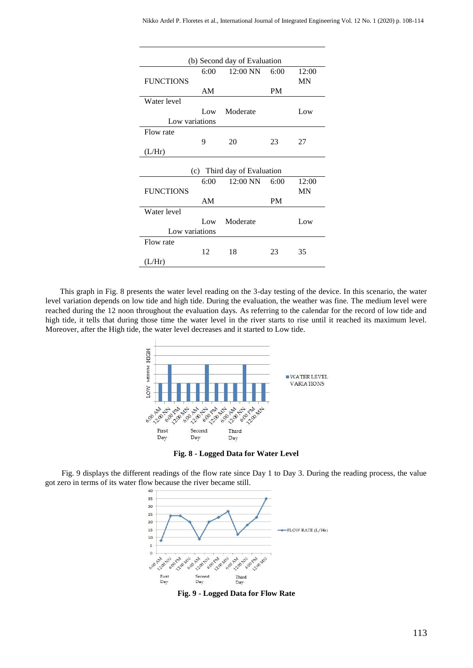| (b) Second day of Evaluation |      |            |           |           |  |  |  |
|------------------------------|------|------------|-----------|-----------|--|--|--|
|                              | 6:00 | $12:00$ NN | 6:00      | 12:00     |  |  |  |
| <b>FUNCTIONS</b>             |      |            |           | <b>MN</b> |  |  |  |
|                              | AM   |            | <b>PM</b> |           |  |  |  |
| Water level                  |      |            |           |           |  |  |  |
|                              | Low  | Moderate   |           | Low       |  |  |  |
| Low variations               |      |            |           |           |  |  |  |
| Flow rate                    |      |            |           |           |  |  |  |
|                              | 9    | 20         | 23        | 27        |  |  |  |
| (L/Hr)                       |      |            |           |           |  |  |  |
|                              |      |            |           |           |  |  |  |
| (c) Third day of Evaluation  |      |            |           |           |  |  |  |
|                              | 6:00 | 12:00 NN   | 6:00      | 12:00     |  |  |  |
| <b>FUNCTIONS</b>             |      |            |           | <b>MN</b> |  |  |  |
|                              | AM   |            | <b>PM</b> |           |  |  |  |
| Water level                  |      |            |           |           |  |  |  |
|                              | Low  | Moderate   |           | Low       |  |  |  |
| Low variations               |      |            |           |           |  |  |  |
| Flow rate                    |      |            |           |           |  |  |  |
|                              | 12   | 18         | 23        | 35        |  |  |  |
| (L/Hr)                       |      |            |           |           |  |  |  |

This graph in Fig. 8 presents the water level reading on the 3-day testing of the device. In this scenario, the water level variation depends on low tide and high tide. During the evaluation, the weather was fine. The medium level were reached during the 12 noon throughout the evaluation days. As referring to the calendar for the record of low tide and high tide, it tells that during those time the water level in the river starts to rise until it reached its maximum level. Moreover, after the High tide, the water level decreases and it started to Low tide.



**Fig. 8 - Logged Data for Water Level** 

Fig. 9 displays the different readings of the flow rate since Day 1 to Day 3. During the reading process, the value got zero in terms of its water flow because the river became still.



**Fig. 9 - Logged Data for Flow Rate**